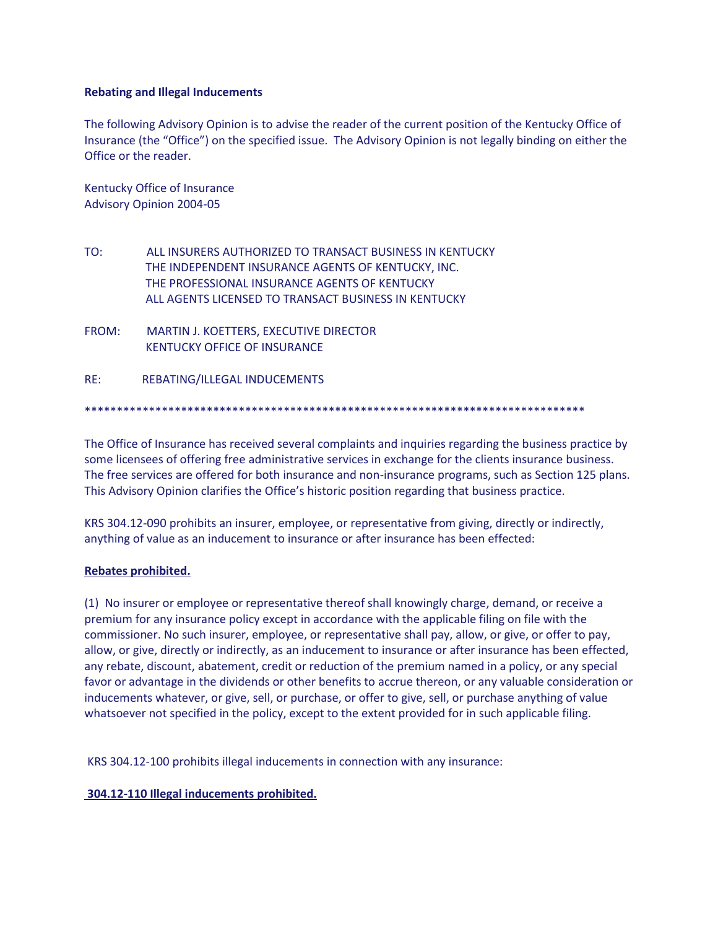## **Rebating and Illegal Inducements**

The following Advisory Opinion is to advise the reader of the current position of the Kentucky Office of Insurance (the "Office") on the specified issue. The Advisory Opinion is not legally binding on either the Office or the reader.

Kentucky Office of Insurance Advisory Opinion 2004-05

TO: ALL INSURERS AUTHORIZED TO TRANSACT BUSINESS IN KENTUCKY THE INDEPENDENT INSURANCE AGENTS OF KENTUCKY, INC. THE PROFESSIONAL INSURANCE AGENTS OF KENTUCKY ALL AGENTS LICENSED TO TRANSACT BUSINESS IN KENTUCKY

FROM: MARTIN J. KOETTERS, EXECUTIVE DIRECTOR KENTUCKY OFFICE OF INSURANCE

RE: REBATING/ILLEGAL INDUCEMENTS

\*\*\*\*\*\*\*\*\*\*\*\*\*\*\*\*\*\*\*\*\*\*\*\*\*\*\*\*\*\*\*\*\*\*\*\*\*\*\*\*\*\*\*\*\*\*\*\*\*\*\*\*\*\*\*\*\*\*\*\*\*\*\*\*\*\*\*\*\*\*\*\*\*\*\*\*\*\*

The Office of Insurance has received several complaints and inquiries regarding the business practice by some licensees of offering free administrative services in exchange for the clients insurance business. The free services are offered for both insurance and non-insurance programs, such as Section 125 plans. This Advisory Opinion clarifies the Office's historic position regarding that business practice.

KRS 304.12-090 prohibits an insurer, employee, or representative from giving, directly or indirectly, anything of value as an inducement to insurance or after insurance has been effected:

## **Rebates prohibited.**

(1) No insurer or employee or representative thereof shall knowingly charge, demand, or receive a premium for any insurance policy except in accordance with the applicable filing on file with the commissioner. No such insurer, employee, or representative shall pay, allow, or give, or offer to pay, allow, or give, directly or indirectly, as an inducement to insurance or after insurance has been effected, any rebate, discount, abatement, credit or reduction of the premium named in a policy, or any special favor or advantage in the dividends or other benefits to accrue thereon, or any valuable consideration or inducements whatever, or give, sell, or purchase, or offer to give, sell, or purchase anything of value whatsoever not specified in the policy, except to the extent provided for in such applicable filing.

KRS 304.12-100 prohibits illegal inducements in connection with any insurance:

## **304.12-110 Illegal inducements prohibited.**